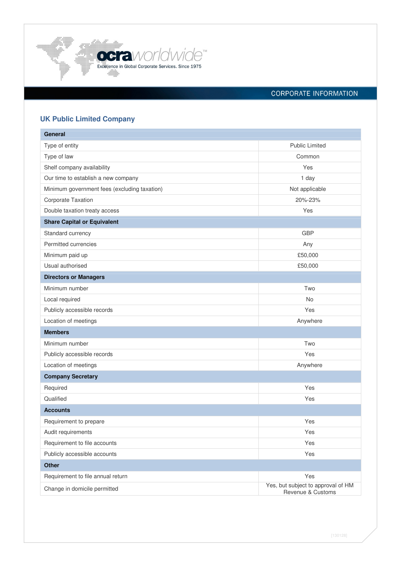

# CORPORATE INFORMATION

# **UK Public Limited Company**

| General                                      |                                                         |
|----------------------------------------------|---------------------------------------------------------|
| Type of entity                               | <b>Public Limited</b>                                   |
| Type of law                                  | Common                                                  |
| Shelf company availability                   | Yes                                                     |
| Our time to establish a new company          | 1 day                                                   |
| Minimum government fees (excluding taxation) | Not applicable                                          |
| Corporate Taxation                           | 20%-23%                                                 |
| Double taxation treaty access                | Yes                                                     |
| <b>Share Capital or Equivalent</b>           |                                                         |
| Standard currency                            | <b>GBP</b>                                              |
| Permitted currencies                         | Any                                                     |
| Minimum paid up                              | £50,000                                                 |
| Usual authorised                             | £50,000                                                 |
| <b>Directors or Managers</b>                 |                                                         |
| Minimum number                               | Two                                                     |
| Local required                               | No                                                      |
| Publicly accessible records                  | Yes                                                     |
| Location of meetings                         | Anywhere                                                |
| <b>Members</b>                               |                                                         |
| Minimum number                               | Two                                                     |
| Publicly accessible records                  | Yes                                                     |
| Location of meetings                         | Anywhere                                                |
| <b>Company Secretary</b>                     |                                                         |
| Required                                     | Yes                                                     |
| Qualified                                    | Yes                                                     |
| <b>Accounts</b>                              |                                                         |
| Requirement to prepare                       | Yes                                                     |
| Audit requirements                           | Yes                                                     |
| Requirement to file accounts                 | Yes                                                     |
| Publicly accessible accounts                 | Yes                                                     |
| <b>Other</b>                                 |                                                         |
| Requirement to file annual return            | Yes                                                     |
| Change in domicile permitted                 | Yes, but subject to approval of HM<br>Revenue & Customs |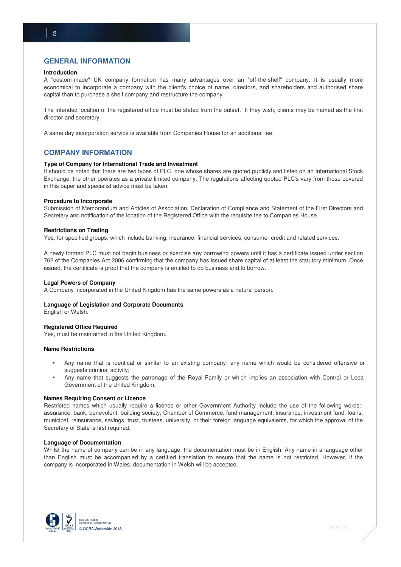# **GENERAL INFORMATION**

## **Introduction**

A "custom-made" UK company formation has many advantages over an "off-the-shelf" company. It is usually more economical to incorporate a company with the client's choice of name, directors, and shareholders and authorised share capital than to purchase a shelf company and restructure the company.

The intended location of the registered office must be stated from the outset. If they wish, clients may be named as the first director and secretary.

A same day incorporation service is available from Companies House for an additional fee.

## **COMPANY INFORMATION**

## **Type of Company for International Trade and Investment**

It should be noted that there are two types of PLC, one whose shares are quoted publicly and listed on an International Stock Exchange; the other operates as a private limited company. The regulations affecting quoted PLC's vary from those covered in this paper and specialist advice must be taken.

## **Procedure to Incorporate**

Submission of Memorandum and Articles of Association, Declaration of Compliance and Statement of the First Directors and Secretary and notification of the location of the Registered Office with the requisite fee to Companies House.

## **Restrictions on Trading**

Yes, for specified groups, which include banking, insurance, financial services, consumer credit and related services.

A newly formed PLC must not begin business or exercise any borrowing powers until it has a certificate issued under section 762 of the Companies Act 2006 confirming that the company has issued share capital of at least the statutory minimum. Once issued, the certificate is proof that the company is entitled to do business and to borrow.

## **Legal Powers of Company**

A Company incorporated in the United Kingdom has the same powers as a natural person.

## **Language of Legislation and Corporate Documents**

English or Welsh.

## **Registered Office Required**

Yes, must be maintained in the United Kingdom.

## **Name Restrictions**

- Any name that is identical or similar to an existing company; any name which would be considered offensive or suggests criminal activity;
- Any name that suggests the patronage of the Royal Family or which implies an association with Central or Local Government of the United Kingdom.

#### **Names Requiring Consent or Licence**

Restricted names which usually require a licence or other Government Authority include the use of the following words: assurance, bank, benevolent, building society, Chamber of Commerce, fund management, insurance, investment fund, loans, municipal, reinsurance, savings, trust, trustees, university, or their foreign language equivalents, for which the approval of the Secretary of State is first required.

## **Language of Documentation**

Whilst the name of company can be in any language, the documentation must be in English. Any name in a language other than English must be accompanied by a certified translation to ensure that the name is not restricted. However, if the company is incorporated in Wales, documentation in Welsh will be accepted.